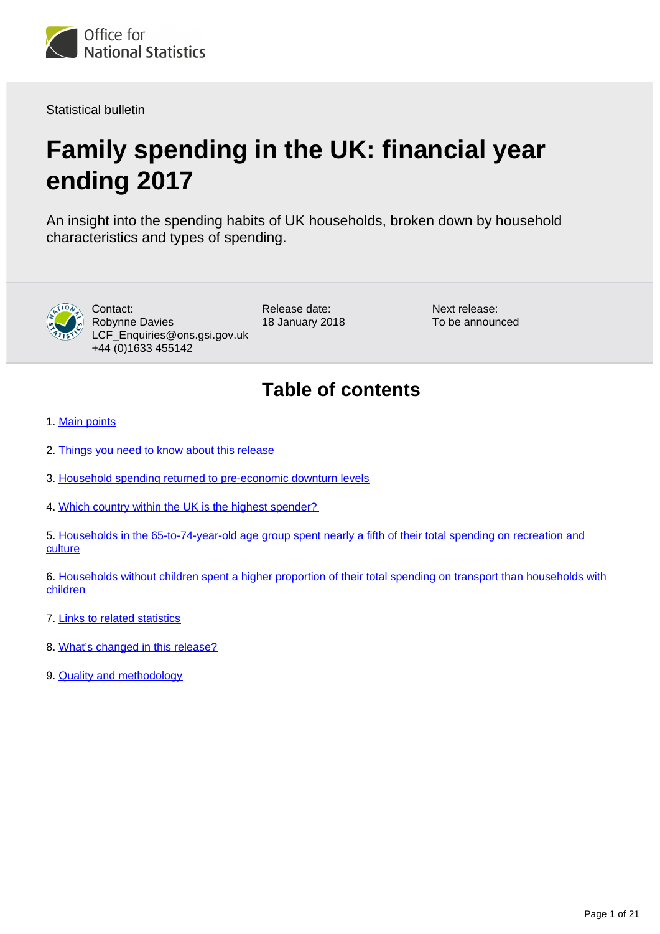

Statistical bulletin

# **Family spending in the UK: financial year ending 2017**

An insight into the spending habits of UK households, broken down by household characteristics and types of spending.



Contact: Robynne Davies LCF\_Enquiries@ons.gsi.gov.uk +44 (0)1633 455142

Release date: 18 January 2018 Next release: To be announced

# **Table of contents**

- 1. [Main points](#page-1-0)
- 2. [Things you need to know about this release](#page-1-1)
- 3. [Household spending returned to pre-economic downturn levels](#page-2-0)
- 4. [Which country within the UK is the highest spender?](#page-7-0)
- 5. [Households in the 65-to-74-year-old age group spent nearly a fifth of their total spending on recreation and](#page-9-0)  **[culture](#page-9-0)**
- 6. Households without children spent a higher proportion of their total spending on transport than households with [children](#page-12-0)
- 7. [Links to related statistics](#page-16-0)
- 8. [What's changed in this release?](#page-17-0)
- 9. **[Quality and methodology](#page-17-1)**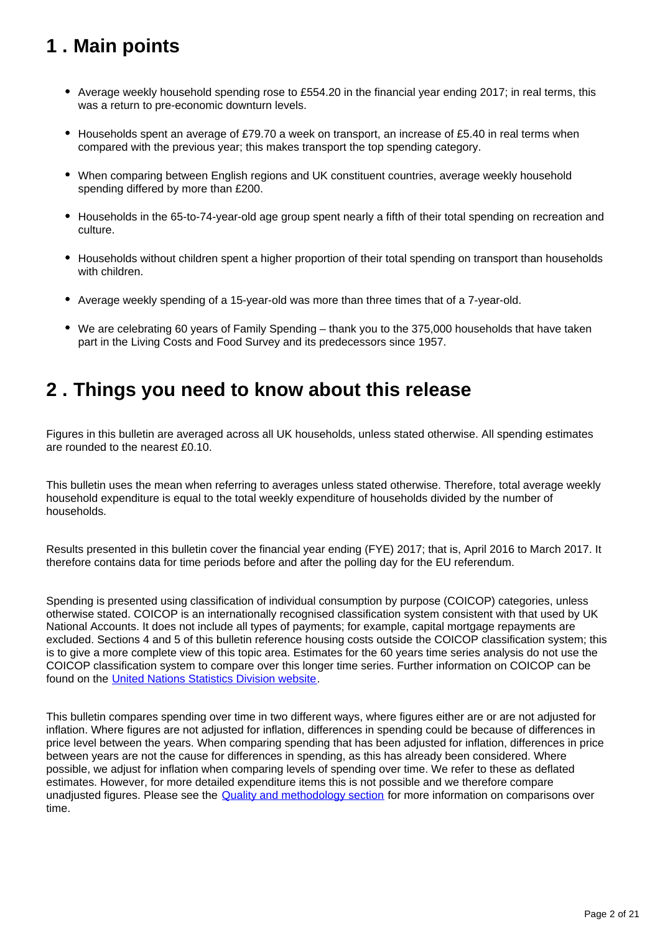# <span id="page-1-0"></span>**1 . Main points**

- Average weekly household spending rose to £554.20 in the financial year ending 2017; in real terms, this was a return to pre-economic downturn levels.
- $\bullet$  Households spent an average of £79.70 a week on transport, an increase of £5.40 in real terms when compared with the previous year; this makes transport the top spending category.
- When comparing between English regions and UK constituent countries, average weekly household spending differed by more than £200.
- Households in the 65-to-74-year-old age group spent nearly a fifth of their total spending on recreation and culture.
- Households without children spent a higher proportion of their total spending on transport than households with children.
- Average weekly spending of a 15-year-old was more than three times that of a 7-year-old.
- We are celebrating 60 years of Family Spending thank you to the 375,000 households that have taken part in the Living Costs and Food Survey and its predecessors since 1957.

## <span id="page-1-1"></span>**2 . Things you need to know about this release**

Figures in this bulletin are averaged across all UK households, unless stated otherwise. All spending estimates are rounded to the nearest £0.10.

This bulletin uses the mean when referring to averages unless stated otherwise. Therefore, total average weekly household expenditure is equal to the total weekly expenditure of households divided by the number of households.

Results presented in this bulletin cover the financial year ending (FYE) 2017; that is, April 2016 to March 2017. It therefore contains data for time periods before and after the polling day for the EU referendum.

Spending is presented using classification of individual consumption by purpose (COICOP) categories, unless otherwise stated. COICOP is an internationally recognised classification system consistent with that used by UK National Accounts. It does not include all types of payments; for example, capital mortgage repayments are excluded. Sections 4 and 5 of this bulletin reference housing costs outside the COICOP classification system; this is to give a more complete view of this topic area. Estimates for the 60 years time series analysis do not use the COICOP classification system to compare over this longer time series. Further information on COICOP can be found on the [United Nations Statistics Division website](http://unstats.un.org/unsd/cr/registry/regct.asp?Lg=1).

This bulletin compares spending over time in two different ways, where figures either are or are not adjusted for inflation. Where figures are not adjusted for inflation, differences in spending could be because of differences in price level between the years. When comparing spending that has been adjusted for inflation, differences in price between years are not the cause for differences in spending, as this has already been considered. Where possible, we adjust for inflation when comparing levels of spending over time. We refer to these as deflated estimates. However, for more detailed expenditure items this is not possible and we therefore compare unadjusted figures. Please see the [Quality and methodology section](https://www.ons.gov.ukpeoplepopulationandcommunity/personalandhouseholdfinances/expenditure/bulletins/familyspendingintheuk/financialyearending2017#quality-and-methodology) for more information on comparisons over time.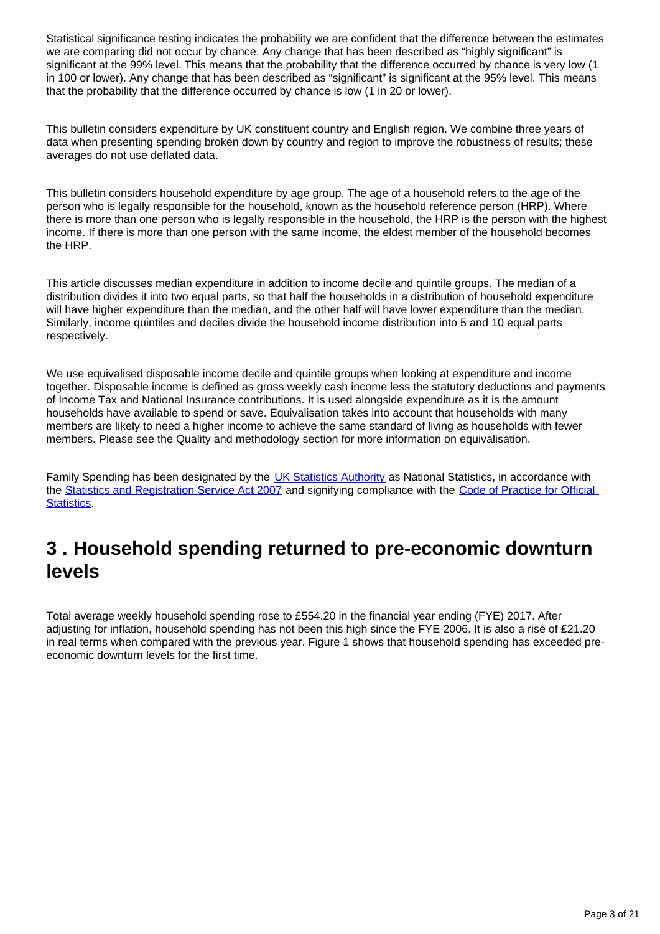Statistical significance testing indicates the probability we are confident that the difference between the estimates we are comparing did not occur by chance. Any change that has been described as "highly significant" is significant at the 99% level. This means that the probability that the difference occurred by chance is very low (1 in 100 or lower). Any change that has been described as "significant" is significant at the 95% level. This means that the probability that the difference occurred by chance is low (1 in 20 or lower).

This bulletin considers expenditure by UK constituent country and English region. We combine three years of data when presenting spending broken down by country and region to improve the robustness of results; these averages do not use deflated data.

This bulletin considers household expenditure by age group. The age of a household refers to the age of the person who is legally responsible for the household, known as the household reference person (HRP). Where there is more than one person who is legally responsible in the household, the HRP is the person with the highest income. If there is more than one person with the same income, the eldest member of the household becomes the HRP.

This article discusses median expenditure in addition to income decile and quintile groups. The median of a distribution divides it into two equal parts, so that half the households in a distribution of household expenditure will have higher expenditure than the median, and the other half will have lower expenditure than the median. Similarly, income quintiles and deciles divide the household income distribution into 5 and 10 equal parts respectively.

We use equivalised disposable income decile and quintile groups when looking at expenditure and income together. Disposable income is defined as gross weekly cash income less the statutory deductions and payments of Income Tax and National Insurance contributions. It is used alongside expenditure as it is the amount households have available to spend or save. Equivalisation takes into account that households with many members are likely to need a higher income to achieve the same standard of living as households with fewer members. Please see the Quality and methodology section for more information on equivalisation.

Family Spending has been designated by the **UK Statistics Authority** as National Statistics, in accordance with the [Statistics and Registration Service Act 2007](https://www.statisticsauthority.gov.uk/about-the-authority/uk-statistical-system/legislation/key-legislative-documents/) and signifying compliance with the Code of Practice for Official [Statistics](https://www.statisticsauthority.gov.uk/monitoring-and-assessment/code-of-practice/).

# <span id="page-2-0"></span>**3 . Household spending returned to pre-economic downturn levels**

Total average weekly household spending rose to £554.20 in the financial year ending (FYE) 2017. After adjusting for inflation, household spending has not been this high since the FYE 2006. It is also a rise of £21.20 in real terms when compared with the previous year. Figure 1 shows that household spending has exceeded preeconomic downturn levels for the first time.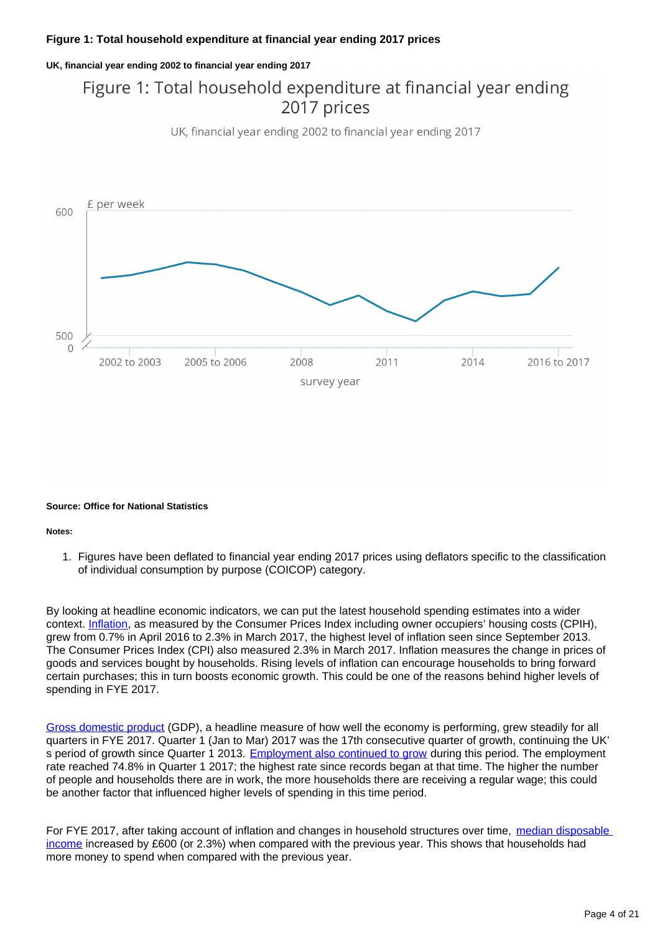### **Figure 1: Total household expenditure at financial year ending 2017 prices**

**UK, financial year ending 2002 to financial year ending 2017**

## Figure 1: Total household expenditure at financial year ending 2017 prices

UK, financial year ending 2002 to financial year ending 2017



#### **Source: Office for National Statistics**

#### **Notes:**

1. Figures have been deflated to financial year ending 2017 prices using deflators specific to the classification of individual consumption by purpose (COICOP) category.

By looking at headline economic indicators, we can put the latest household spending estimates into a wider context. [Inflation](https://www.ons.gov.uk/economy/inflationandpriceindices/bulletins/consumerpriceinflation/november2017), as measured by the Consumer Prices Index including owner occupiers' housing costs (CPIH), grew from 0.7% in April 2016 to 2.3% in March 2017, the highest level of inflation seen since September 2013. The Consumer Prices Index (CPI) also measured 2.3% in March 2017. Inflation measures the change in prices of goods and services bought by households. Rising levels of inflation can encourage households to bring forward certain purchases; this in turn boosts economic growth. This could be one of the reasons behind higher levels of spending in FYE 2017.

[Gross domestic product](https://www.ons.gov.uk/economy/grossdomesticproductgdp/bulletins/quarterlynationalaccounts/aprtojun2017) (GDP), a headline measure of how well the economy is performing, grew steadily for all quarters in FYE 2017. Quarter 1 (Jan to Mar) 2017 was the 17th consecutive quarter of growth, continuing the UK' s period of growth since Quarter 1 2013. [Employment also continued to grow](https://www.ons.gov.uk/employmentandlabourmarket/peopleinwork/employmentandemployeetypes/bulletins/uklabourmarket/december2017) during this period. The employment rate reached 74.8% in Quarter 1 2017; the highest rate since records began at that time. The higher the number of people and households there are in work, the more households there are receiving a regular wage; this could be another factor that influenced higher levels of spending in this time period.

For FYE 2017, after taking account of inflation and changes in household structures over time, median disposable [income](https://www.ons.gov.uk/peoplepopulationandcommunity/personalandhouseholdfinances/incomeandwealth/bulletins/householddisposableincomeandinequality/previousReleases) increased by £600 (or 2.3%) when compared with the previous year. This shows that households had more money to spend when compared with the previous year.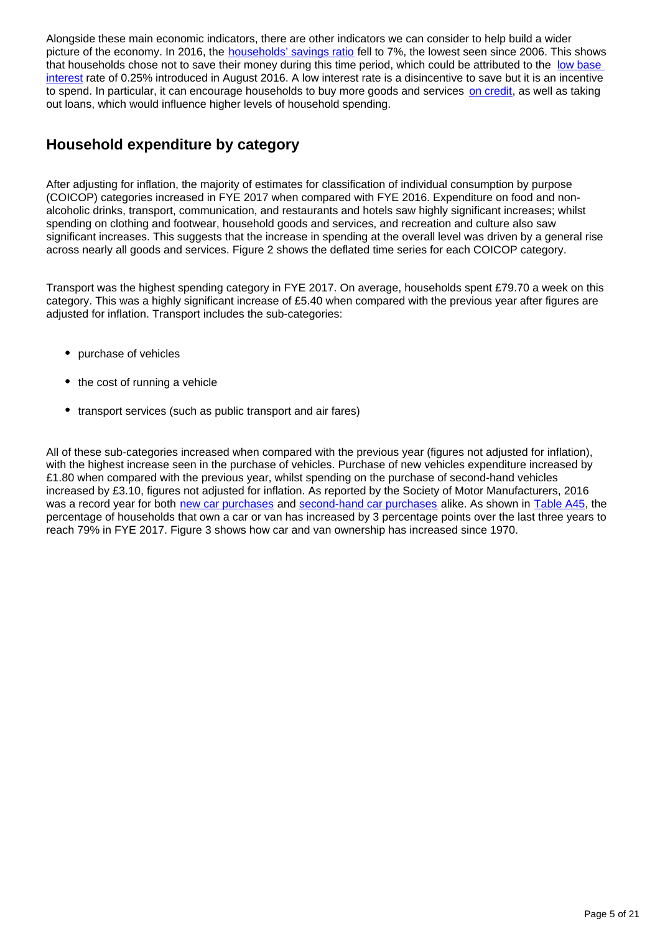Alongside these main economic indicators, there are other indicators we can consider to help build a wider picture of the economy. In 2016, the [households' savings ratio](https://www.ons.gov.uk/economy/grossdomesticproductgdp/compendium/unitedkingdomnationalaccountsthebluebook/2017/uknationalaccountsthebluebook2017) fell to 7%, the lowest seen since 2006. This shows that households chose not to save their money during this time period, which could be attributed to the low base [interest](http://www.bankofengland.co.uk/boeapps/iadb/Repo.asp) rate of 0.25% introduced in August 2016. A low interest rate is a disincentive to save but it is an incentive to spend. In particular, it can encourage households to buy more goods and services [on credit](https://www.ons.gov.uk/economy/nationalaccounts/uksectoraccounts/bulletins/quarterlysectoraccounts/julytoseptember2017), as well as taking out loans, which would influence higher levels of household spending.

### **Household expenditure by category**

After adjusting for inflation, the majority of estimates for classification of individual consumption by purpose (COICOP) categories increased in FYE 2017 when compared with FYE 2016. Expenditure on food and nonalcoholic drinks, transport, communication, and restaurants and hotels saw highly significant increases; whilst spending on clothing and footwear, household goods and services, and recreation and culture also saw significant increases. This suggests that the increase in spending at the overall level was driven by a general rise across nearly all goods and services. Figure 2 shows the deflated time series for each COICOP category.

Transport was the highest spending category in FYE 2017. On average, households spent £79.70 a week on this category. This was a highly significant increase of £5.40 when compared with the previous year after figures are adjusted for inflation. Transport includes the sub-categories:

- purchase of vehicles
- the cost of running a vehicle
- transport services (such as public transport and air fares)

All of these sub-categories increased when compared with the previous year (figures not adjusted for inflation), with the highest increase seen in the purchase of vehicles. Purchase of new vehicles expenditure increased by £1.80 when compared with the previous year, whilst spending on the purchase of second-hand vehicles increased by £3.10, figures not adjusted for inflation. As reported by the Society of Motor Manufacturers, 2016 was a record year for both [new car purchases](https://www.smmt.co.uk/2017/01/uk-new-car-market-achieves-record-2-69-million-registrations-in-2016-with-fifth-year-of-growth) and [second-hand car purchases](https://www.smmt.co.uk/2017/05/used-car-sales-q1-2017) alike. As shown in [Table A45](https://www.ons.gov.uk/peoplepopulationandcommunity/personalandhouseholdfinances/expenditure/datasets/percentageofhouseholdswithdurablegoodsuktablea45), the percentage of households that own a car or van has increased by 3 percentage points over the last three years to reach 79% in FYE 2017. Figure 3 shows how car and van ownership has increased since 1970.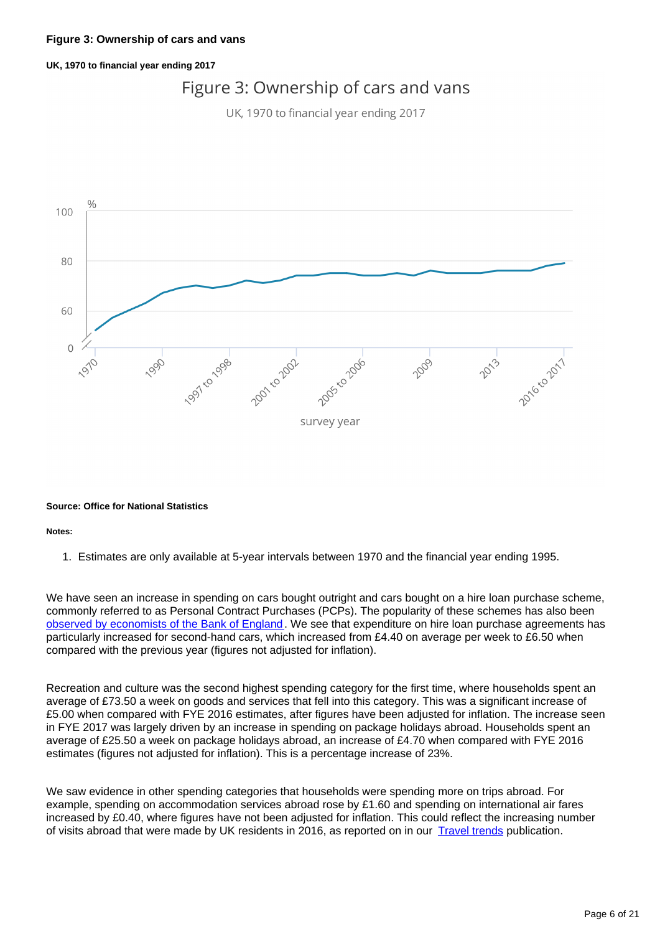### **UK, 1970 to financial year ending 2017**

## Figure 3: Ownership of cars and vans

UK, 1970 to financial year ending 2017



#### **Source: Office for National Statistics**

#### **Notes:**

1. Estimates are only available at 5-year intervals between 1970 and the financial year ending 1995.

We have seen an increase in spending on cars bought outright and cars bought on a hire loan purchase scheme, commonly referred to as Personal Contract Purchases (PCPs). The popularity of these schemes has also been [observed by economists of the Bank of England.](https://bankunderground.co.uk/2016/08/05/car-finance-is-the-industry-speeding/) We see that expenditure on hire loan purchase agreements has particularly increased for second-hand cars, which increased from £4.40 on average per week to £6.50 when compared with the previous year (figures not adjusted for inflation).

Recreation and culture was the second highest spending category for the first time, where households spent an average of £73.50 a week on goods and services that fell into this category. This was a significant increase of £5.00 when compared with FYE 2016 estimates, after figures have been adjusted for inflation. The increase seen in FYE 2017 was largely driven by an increase in spending on package holidays abroad. Households spent an average of £25.50 a week on package holidays abroad, an increase of £4.70 when compared with FYE 2016 estimates (figures not adjusted for inflation). This is a percentage increase of 23%.

We saw evidence in other spending categories that households were spending more on trips abroad. For example, spending on accommodation services abroad rose by £1.60 and spending on international air fares increased by £0.40, where figures have not been adjusted for inflation. This could reflect the increasing number of visits abroad that were made by UK residents in 2016, as reported on in our **[Travel trends](https://www.ons.gov.uk/peoplepopulationandcommunity/leisureandtourism/articles/traveltrends/2016)** publication.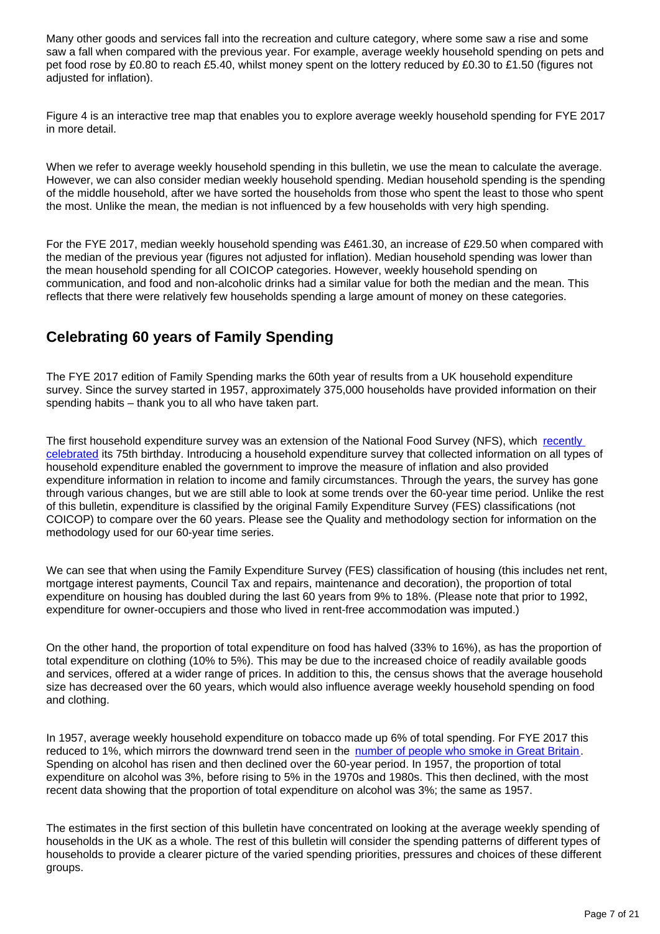Many other goods and services fall into the recreation and culture category, where some saw a rise and some saw a fall when compared with the previous year. For example, average weekly household spending on pets and pet food rose by £0.80 to reach £5.40, whilst money spent on the lottery reduced by £0.30 to £1.50 (figures not adjusted for inflation).

Figure 4 is an interactive tree map that enables you to explore average weekly household spending for FYE 2017 in more detail.

When we refer to average weekly household spending in this bulletin, we use the mean to calculate the average. However, we can also consider median weekly household spending. Median household spending is the spending of the middle household, after we have sorted the households from those who spent the least to those who spent the most. Unlike the mean, the median is not influenced by a few households with very high spending.

For the FYE 2017, median weekly household spending was £461.30, an increase of £29.50 when compared with the median of the previous year (figures not adjusted for inflation). Median household spending was lower than the mean household spending for all COICOP categories. However, weekly household spending on communication, and food and non-alcoholic drinks had a similar value for both the median and the mean. This reflects that there were relatively few households spending a large amount of money on these categories.

### **Celebrating 60 years of Family Spending**

The FYE 2017 edition of Family Spending marks the 60th year of results from a UK household expenditure survey. Since the survey started in 1957, approximately 375,000 households have provided information on their spending habits – thank you to all who have taken part.

The first household expenditure survey was an extension of the National Food Survey (NFS), which recently [celebrated](https://www.gov.uk/government/statistics/family-food-2015) its 75th birthday. Introducing a household expenditure survey that collected information on all types of household expenditure enabled the government to improve the measure of inflation and also provided expenditure information in relation to income and family circumstances. Through the years, the survey has gone through various changes, but we are still able to look at some trends over the 60-year time period. Unlike the rest of this bulletin, expenditure is classified by the original Family Expenditure Survey (FES) classifications (not COICOP) to compare over the 60 years. Please see the Quality and methodology section for information on the methodology used for our 60-year time series.

We can see that when using the Family Expenditure Survey (FES) classification of housing (this includes net rent, mortgage interest payments, Council Tax and repairs, maintenance and decoration), the proportion of total expenditure on housing has doubled during the last 60 years from 9% to 18%. (Please note that prior to 1992, expenditure for owner-occupiers and those who lived in rent-free accommodation was imputed.)

On the other hand, the proportion of total expenditure on food has halved (33% to 16%), as has the proportion of total expenditure on clothing (10% to 5%). This may be due to the increased choice of readily available goods and services, offered at a wider range of prices. In addition to this, the census shows that the average household size has decreased over the 60 years, which would also influence average weekly household spending on food and clothing.

In 1957, average weekly household expenditure on tobacco made up 6% of total spending. For FYE 2017 this reduced to 1%, which mirrors the downward trend seen in the [number of people who smoke in Great Britain.](https://www.ons.gov.uk/peoplepopulationandcommunity/healthandsocialcare/healthandlifeexpectancies/bulletins/adultsmokinghabitsingreatbritain/2016) Spending on alcohol has risen and then declined over the 60-year period. In 1957, the proportion of total expenditure on alcohol was 3%, before rising to 5% in the 1970s and 1980s. This then declined, with the most recent data showing that the proportion of total expenditure on alcohol was 3%; the same as 1957.

The estimates in the first section of this bulletin have concentrated on looking at the average weekly spending of households in the UK as a whole. The rest of this bulletin will consider the spending patterns of different types of households to provide a clearer picture of the varied spending priorities, pressures and choices of these different groups.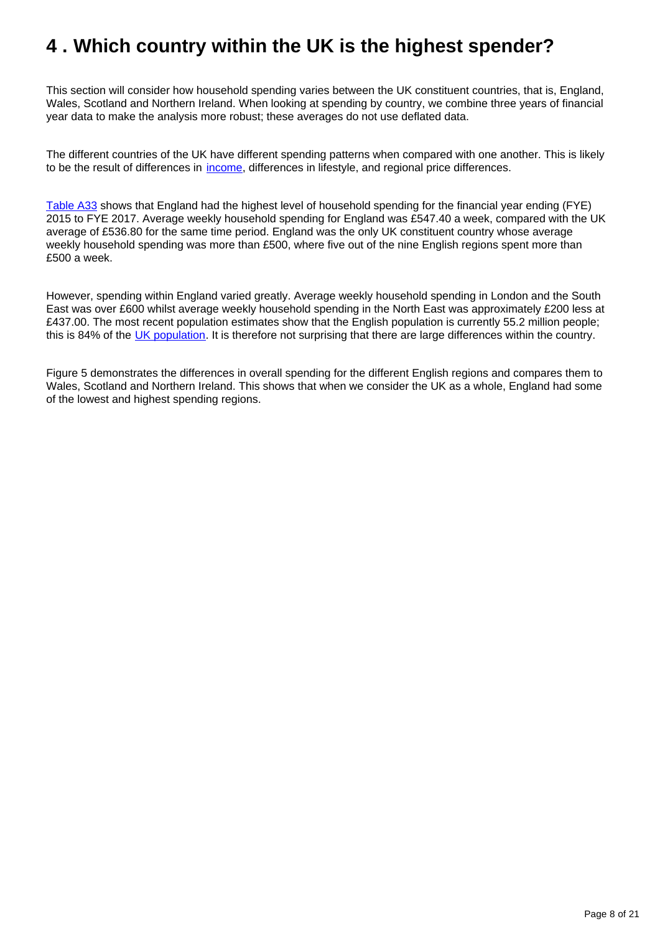# <span id="page-7-0"></span>**4 . Which country within the UK is the highest spender?**

This section will consider how household spending varies between the UK constituent countries, that is, England, Wales, Scotland and Northern Ireland. When looking at spending by country, we combine three years of financial year data to make the analysis more robust; these averages do not use deflated data.

The different countries of the UK have different spending patterns when compared with one another. This is likely to be the result of differences in [income,](https://www.ons.gov.uk/peoplepopulationandcommunity/personalandhouseholdfinances/incomeandwealth/datasets/theeffectsoftaxesandbenefitsonhouseholdincomefinancialyearending2014) differences in lifestyle, and regional price differences.

[Table A33](https://www.ons.gov.uk/peoplepopulationandcommunity/personalandhouseholdfinances/expenditure/datasets/householdexpenditurebycountriesandregionsuktablea33) shows that England had the highest level of household spending for the financial year ending (FYE) 2015 to FYE 2017. Average weekly household spending for England was £547.40 a week, compared with the UK average of £536.80 for the same time period. England was the only UK constituent country whose average weekly household spending was more than £500, where five out of the nine English regions spent more than £500 a week.

However, spending within England varied greatly. Average weekly household spending in London and the South East was over £600 whilst average weekly household spending in the North East was approximately £200 less at £437.00. The most recent population estimates show that the English population is currently 55.2 million people; this is 84% of the [UK population.](https://www.ons.gov.uk/peoplepopulationandcommunity/populationandmigration/populationestimates/timeseries/ukpop/pop) It is therefore not surprising that there are large differences within the country.

Figure 5 demonstrates the differences in overall spending for the different English regions and compares them to Wales, Scotland and Northern Ireland. This shows that when we consider the UK as a whole, England had some of the lowest and highest spending regions.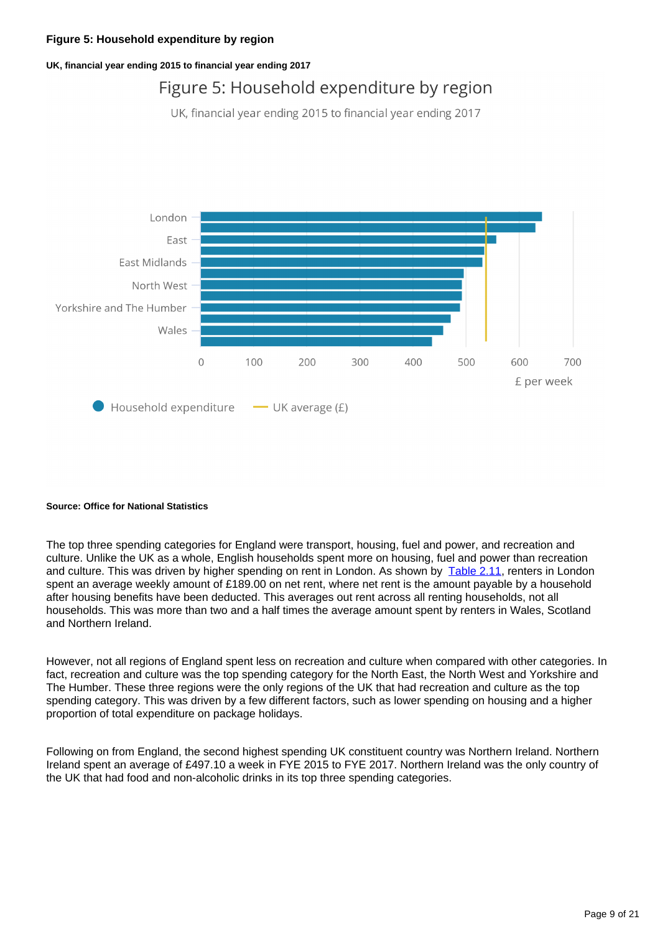### **Figure 5: Household expenditure by region**

**UK, financial year ending 2015 to financial year ending 2017**

## Figure 5: Household expenditure by region

UK, financial year ending 2015 to financial year ending 2017



#### **Source: Office for National Statistics**

The top three spending categories for England were transport, housing, fuel and power, and recreation and culture. Unlike the UK as a whole, English households spent more on housing, fuel and power than recreation and culture. This was driven by higher spending on rent in London. As shown by [Table 2.11](https://www.ons.gov.uk/peoplepopulationandcommunity/personalandhouseholdfinances/expenditure/datasets/expenditureonrentandmortgagesbyrentersandmortgageholdersbycountriesandregionsuktable211), renters in London spent an average weekly amount of £189.00 on net rent, where net rent is the amount payable by a household after housing benefits have been deducted. This averages out rent across all renting households, not all households. This was more than two and a half times the average amount spent by renters in Wales, Scotland and Northern Ireland.

However, not all regions of England spent less on recreation and culture when compared with other categories. In fact, recreation and culture was the top spending category for the North East, the North West and Yorkshire and The Humber. These three regions were the only regions of the UK that had recreation and culture as the top spending category. This was driven by a few different factors, such as lower spending on housing and a higher proportion of total expenditure on package holidays.

Following on from England, the second highest spending UK constituent country was Northern Ireland. Northern Ireland spent an average of £497.10 a week in FYE 2015 to FYE 2017. Northern Ireland was the only country of the UK that had food and non-alcoholic drinks in its top three spending categories.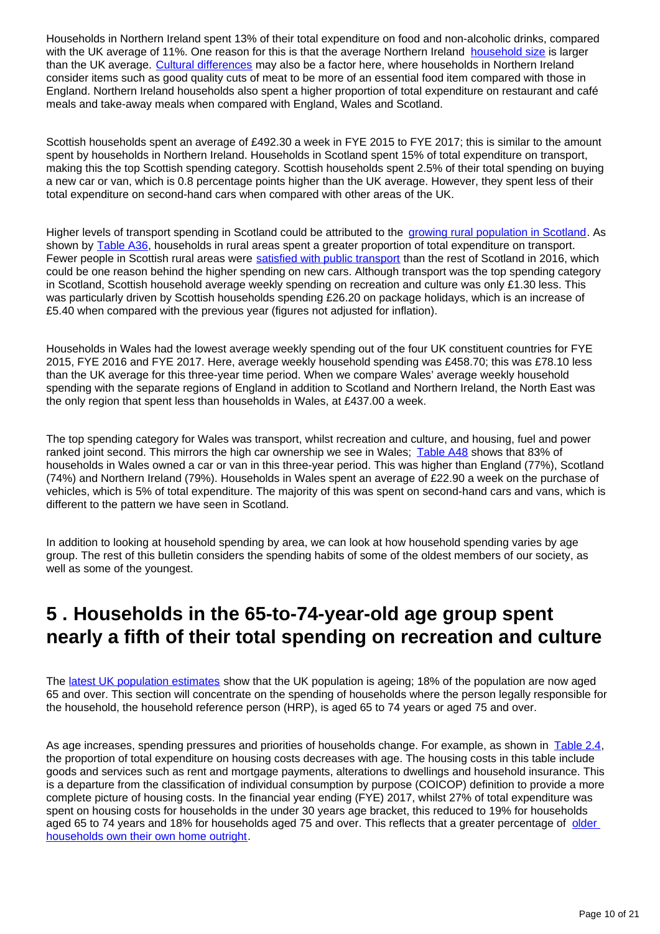Households in Northern Ireland spent 13% of their total expenditure on food and non-alcoholic drinks, compared with the UK average of 11%. One reason for this is that the average Northern Ireland [household size](https://www.ons.gov.uk/peoplepopulationandcommunity/populationandmigration/populationestimates/bulletins/populationandhouseholdestimatesfortheunitedkingdom/2011-03-21) is larger than the UK average. [Cultural differences](http://www.jrf.org.uk/sites/default/files/jrf/migrated/files/minimum-income-northern-ireland-summary.pdf) may also be a factor here, where households in Northern Ireland consider items such as good quality cuts of meat to be more of an essential food item compared with those in England. Northern Ireland households also spent a higher proportion of total expenditure on restaurant and café meals and take-away meals when compared with England, Wales and Scotland.

Scottish households spent an average of £492.30 a week in FYE 2015 to FYE 2017; this is similar to the amount spent by households in Northern Ireland. Households in Scotland spent 15% of total expenditure on transport, making this the top Scottish spending category. Scottish households spent 2.5% of their total spending on buying a new car or van, which is 0.8 percentage points higher than the UK average. However, they spent less of their total expenditure on second-hand cars when compared with other areas of the UK.

Higher levels of transport spending in Scotland could be attributed to the [growing rural population in Scotland](http://www.gov.scot/Publications/2015/03/5411/1). As shown by [Table A36,](https://www.ons.gov.uk/peoplepopulationandcommunity/personalandhouseholdfinances/expenditure/datasets/householdexpenditurebyurbanruralareasgreatbritaintablea36) households in rural areas spent a greater proportion of total expenditure on transport. Fewer people in Scottish rural areas were [satisfied with public transport](http://www.gov.scot/Publications/2017/09/6853/11) than the rest of Scotland in 2016, which could be one reason behind the higher spending on new cars. Although transport was the top spending category in Scotland, Scottish household average weekly spending on recreation and culture was only £1.30 less. This was particularly driven by Scottish households spending £26.20 on package holidays, which is an increase of £5.40 when compared with the previous year (figures not adjusted for inflation).

Households in Wales had the lowest average weekly spending out of the four UK constituent countries for FYE 2015, FYE 2016 and FYE 2017. Here, average weekly household spending was £458.70; this was £78.10 less than the UK average for this three-year time period. When we compare Wales' average weekly household spending with the separate regions of England in addition to Scotland and Northern Ireland, the North East was the only region that spent less than households in Wales, at £437.00 a week.

The top spending category for Wales was transport, whilst recreation and culture, and housing, fuel and power ranked joint second. This mirrors the high car ownership we see in Wales; [Table A48](https://www.ons.gov.uk/peoplepopulationandcommunity/personalandhouseholdfinances/expenditure/datasets/percentageofhouseholdswithdurablegoodsbycountriesandregionsuktablea48) shows that 83% of households in Wales owned a car or van in this three-year period. This was higher than England (77%), Scotland (74%) and Northern Ireland (79%). Households in Wales spent an average of £22.90 a week on the purchase of vehicles, which is 5% of total expenditure. The majority of this was spent on second-hand cars and vans, which is different to the pattern we have seen in Scotland.

In addition to looking at household spending by area, we can look at how household spending varies by age group. The rest of this bulletin considers the spending habits of some of the oldest members of our society, as well as some of the youngest.

## <span id="page-9-0"></span>**5 . Households in the 65-to-74-year-old age group spent nearly a fifth of their total spending on recreation and culture**

The [latest UK population estimates](https://www.ons.gov.uk/peoplepopulationandcommunity/populationandmigration/populationestimates/articles/overviewoftheukpopulation/july2017) show that the UK population is ageing; 18% of the population are now aged 65 and over. This section will concentrate on the spending of households where the person legally responsible for the household, the household reference person (HRP), is aged 65 to 74 years or aged 75 and over.

As age increases, spending pressures and priorities of households change. For example, as shown in [Table 2.4](https://www.ons.gov.uk/peoplepopulationandcommunity/personalandhouseholdfinances/expenditure/datasets/housingexpenditurebyageofhouseholdreferencepersonuktable24), the proportion of total expenditure on housing costs decreases with age. The housing costs in this table include goods and services such as rent and mortgage payments, alterations to dwellings and household insurance. This is a departure from the classification of individual consumption by purpose (COICOP) definition to provide a more complete picture of housing costs. In the financial year ending (FYE) 2017, whilst 27% of total expenditure was spent on housing costs for households in the under 30 years age bracket, this reduced to 19% for households aged 65 to 74 years and 18% for households aged 75 and over. This reflects that a greater percentage of older [households own their own home outright](https://www.gov.uk/government/statistical-data-sets/owner-occupiers-recent-first-time-buyers-and-second-homes).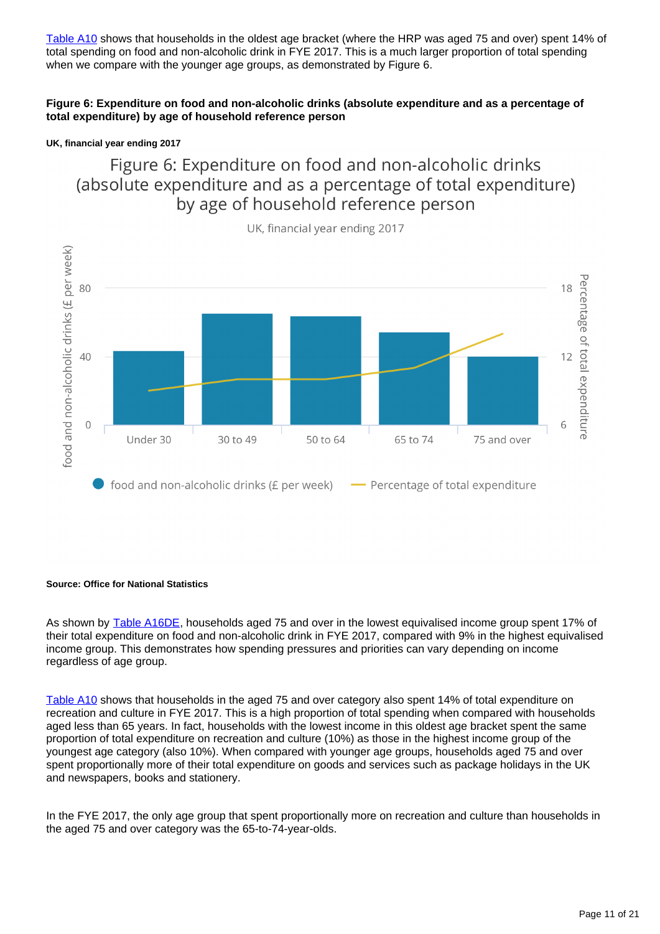[Table A10](https://www.ons.gov.uk/peoplepopulationandcommunity/personalandhouseholdfinances/expenditure/datasets/householdexpenditureasapercentageoftotalexpenditurebyageofhouseholdreferencepersonuktablea10) shows that households in the oldest age bracket (where the HRP was aged 75 and over) spent 14% of total spending on food and non-alcoholic drink in FYE 2017. This is a much larger proportion of total spending when we compare with the younger age groups, as demonstrated by Figure 6.

### **Figure 6: Expenditure on food and non-alcoholic drinks (absolute expenditure and as a percentage of total expenditure) by age of household reference person**

### **UK, financial year ending 2017**

Figure 6: Expenditure on food and non-alcoholic drinks (absolute expenditure and as a percentage of total expenditure) by age of household reference person



UK, financial year ending 2017

### **Source: Office for National Statistics**

As shown by [Table A16DE](https://www.ons.gov.uk/peoplepopulationandcommunity/personalandhouseholdfinances/expenditure/datasets/householdexpenditurebyequivaliseddisposableincomequintilegroupwherethehouseholdreferencepersonisaged75oroveruktablea16de), households aged 75 and over in the lowest equivalised income group spent 17% of their total expenditure on food and non-alcoholic drink in FYE 2017, compared with 9% in the highest equivalised income group. This demonstrates how spending pressures and priorities can vary depending on income regardless of age group.

[Table A10](https://www.ons.gov.uk/peoplepopulationandcommunity/personalandhouseholdfinances/expenditure/datasets/householdexpenditureasapercentageoftotalexpenditurebyageofhouseholdreferencepersonuktablea10) shows that households in the aged 75 and over category also spent 14% of total expenditure on recreation and culture in FYE 2017. This is a high proportion of total spending when compared with households aged less than 65 years. In fact, households with the lowest income in this oldest age bracket spent the same proportion of total expenditure on recreation and culture (10%) as those in the highest income group of the youngest age category (also 10%). When compared with younger age groups, households aged 75 and over spent proportionally more of their total expenditure on goods and services such as package holidays in the UK and newspapers, books and stationery.

In the FYE 2017, the only age group that spent proportionally more on recreation and culture than households in the aged 75 and over category was the 65-to-74-year-olds.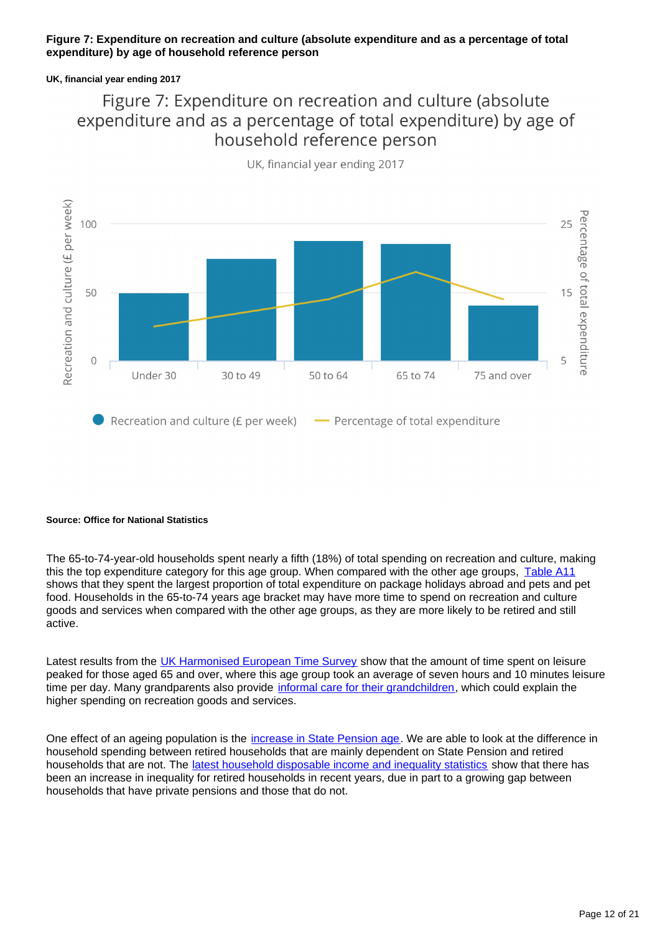### **Figure 7: Expenditure on recreation and culture (absolute expenditure and as a percentage of total expenditure) by age of household reference person**

### **UK, financial year ending 2017**

## Figure 7: Expenditure on recreation and culture (absolute expenditure and as a percentage of total expenditure) by age of household reference person



UK, financial year ending 2017

### **Source: Office for National Statistics**

The 65-to-74-year-old households spent nearly a fifth (18%) of total spending on recreation and culture, making this the top expenditure category for this age group. When compared with the other age groups, [Table A11](https://www.ons.gov.uk/peoplepopulationandcommunity/personalandhouseholdfinances/expenditure/datasets/detailedhouseholdexpenditurebyageofhouseholdreferencepersonuktablea11) shows that they spent the largest proportion of total expenditure on package holidays abroad and pets and pet food. Households in the 65-to-74 years age bracket may have more time to spend on recreation and culture goods and services when compared with the other age groups, as they are more likely to be retired and still active.

Latest results from the [UK Harmonised European Time Survey](https://www.ons.gov.uk/economy/nationalaccounts/satelliteaccounts/articles/leisuretimeintheuk/2015) show that the amount of time spent on leisure peaked for those aged 65 and over, where this age group took an average of seven hours and 10 minutes leisure time per day. Many grandparents also provide [informal care for their grandchildren,](https://www.gov.uk/government/statistics/childcare-and-early-years-survey-of-parents-2014-to-2015) which could explain the higher spending on recreation goods and services.

One effect of an ageing population is the [increase in State Pension age](https://www.gov.uk/government/news/proposed-new-timetable-for-state-pension-age-increases). We are able to look at the difference in household spending between retired households that are mainly dependent on State Pension and retired households that are not. The [latest household disposable income and inequality statistics](https://www.ons.gov.uk/peoplepopulationandcommunity/personalandhouseholdfinances/incomeandwealth/bulletins/householddisposableincomeandinequality/previousReleases) show that there has been an increase in inequality for retired households in recent years, due in part to a growing gap between households that have private pensions and those that do not.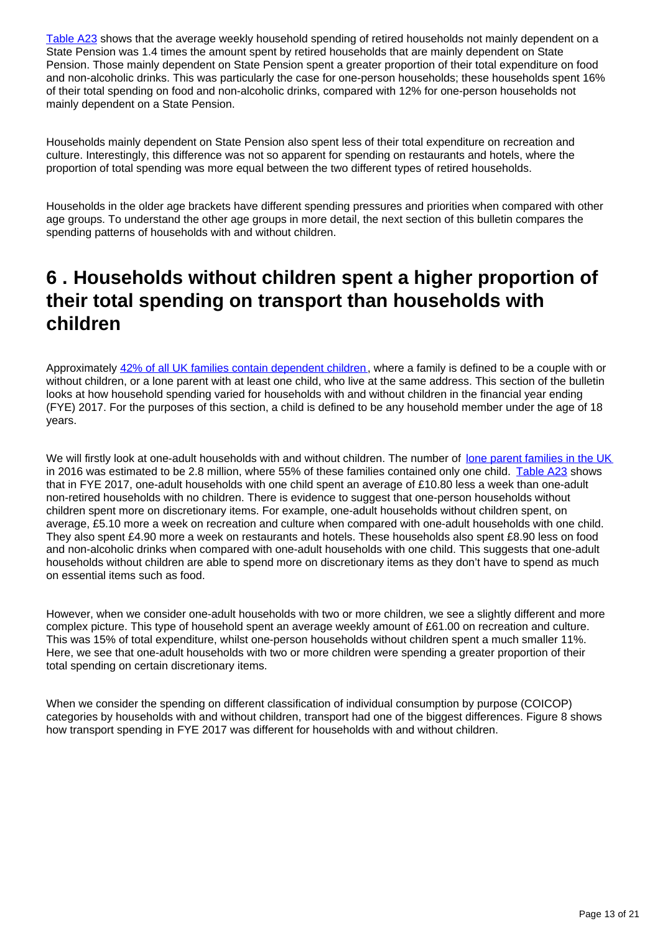[Table A23](https://www.ons.gov.uk/peoplepopulationandcommunity/personalandhouseholdfinances/expenditure/datasets/expenditurebyhouseholdcompositionuktablea23) shows that the average weekly household spending of retired households not mainly dependent on a State Pension was 1.4 times the amount spent by retired households that are mainly dependent on State Pension. Those mainly dependent on State Pension spent a greater proportion of their total expenditure on food and non-alcoholic drinks. This was particularly the case for one-person households; these households spent 16% of their total spending on food and non-alcoholic drinks, compared with 12% for one-person households not mainly dependent on a State Pension.

Households mainly dependent on State Pension also spent less of their total expenditure on recreation and culture. Interestingly, this difference was not so apparent for spending on restaurants and hotels, where the proportion of total spending was more equal between the two different types of retired households.

Households in the older age brackets have different spending pressures and priorities when compared with other age groups. To understand the other age groups in more detail, the next section of this bulletin compares the spending patterns of households with and without children.

## <span id="page-12-0"></span>**6 . Households without children spent a higher proportion of their total spending on transport than households with children**

Approximately [42% of all UK families contain dependent children,](https://www.ons.gov.uk/peoplepopulationandcommunity/birthsdeathsandmarriages/families/bulletins/familiesandhouseholds/2017) where a family is defined to be a couple with or without children, or a lone parent with at least one child, who live at the same address. This section of the bulletin looks at how household spending varied for households with and without children in the financial year ending (FYE) 2017. For the purposes of this section, a child is defined to be any household member under the age of 18 years.

We will firstly look at one-adult households with and without children. The number of [lone parent families in the UK](https://www.ons.gov.uk/peoplepopulationandcommunity/birthsdeathsandmarriages/families/bulletins/familiesandhouseholds/2017) in 2016 was estimated to be 2.8 million, where 55% of these families contained only one child. [Table A23](https://www.ons.gov.uk/peoplepopulationandcommunity/personalandhouseholdfinances/expenditure/datasets/expenditurebyhouseholdcompositionuktablea23) shows that in FYE 2017, one-adult households with one child spent an average of £10.80 less a week than one-adult non-retired households with no children. There is evidence to suggest that one-person households without children spent more on discretionary items. For example, one-adult households without children spent, on average, £5.10 more a week on recreation and culture when compared with one-adult households with one child. They also spent £4.90 more a week on restaurants and hotels. These households also spent £8.90 less on food and non-alcoholic drinks when compared with one-adult households with one child. This suggests that one-adult households without children are able to spend more on discretionary items as they don't have to spend as much on essential items such as food.

However, when we consider one-adult households with two or more children, we see a slightly different and more complex picture. This type of household spent an average weekly amount of £61.00 on recreation and culture. This was 15% of total expenditure, whilst one-person households without children spent a much smaller 11%. Here, we see that one-adult households with two or more children were spending a greater proportion of their total spending on certain discretionary items.

When we consider the spending on different classification of individual consumption by purpose (COICOP) categories by households with and without children, transport had one of the biggest differences. Figure 8 shows how transport spending in FYE 2017 was different for households with and without children.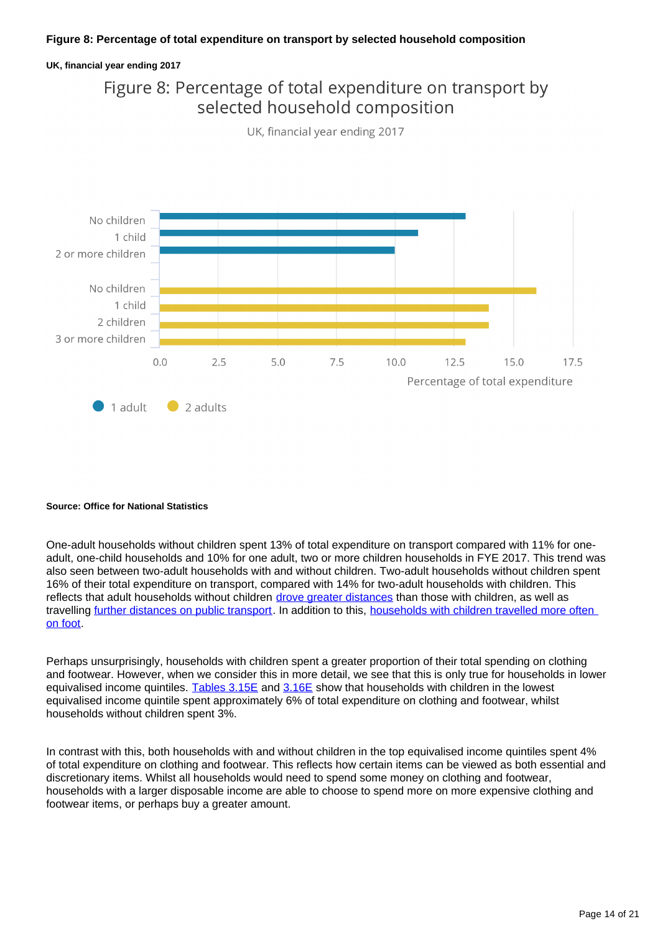### **Figure 8: Percentage of total expenditure on transport by selected household composition**

### **UK, financial year ending 2017**

### Figure 8: Percentage of total expenditure on transport by selected household composition



UK, financial year ending 2017

#### **Source: Office for National Statistics**

One-adult households without children spent 13% of total expenditure on transport compared with 11% for oneadult, one-child households and 10% for one adult, two or more children households in FYE 2017. This trend was also seen between two-adult households with and without children. Two-adult households without children spent 16% of their total expenditure on transport, compared with 14% for two-adult households with children. This reflects that adult households without children [drove greater distances](https://www.gov.uk/government/statistical-data-sets/nts07-car-ownership-and-access) than those with children, as well as travelling [further distances on public transport](https://www.gov.uk/government/statistical-data-sets/nts07-car-ownership-and-access). In addition to this, [households with children travelled more often](https://www.gov.uk/government/statistical-data-sets/nts07-car-ownership-and-access)  [on foot.](https://www.gov.uk/government/statistical-data-sets/nts07-car-ownership-and-access)

Perhaps unsurprisingly, households with children spent a greater proportion of their total spending on clothing and footwear. However, when we consider this in more detail, we see that this is only true for households in lower equivalised income quintiles. [Tables 3.15E](https://www.ons.gov.uk/peoplepopulationandcommunity/personalandhouseholdfinances/expenditure/datasets/expenditureofhouseholdswithchildrenbyequivaliseddisposableincomequintilegroupoecdmodifiedscaleuktable315e) and [3.16E](https://www.ons.gov.uk/peoplepopulationandcommunity/personalandhouseholdfinances/expenditure/datasets/expenditureofhouseholdswithchildrenbyequivaliseddisposableincomequintilegroupoecdmodifiedscaleuktable316e) show that households with children in the lowest equivalised income quintile spent approximately 6% of total expenditure on clothing and footwear, whilst households without children spent 3%.

In contrast with this, both households with and without children in the top equivalised income quintiles spent 4% of total expenditure on clothing and footwear. This reflects how certain items can be viewed as both essential and discretionary items. Whilst all households would need to spend some money on clothing and footwear, households with a larger disposable income are able to choose to spend more on more expensive clothing and footwear items, or perhaps buy a greater amount.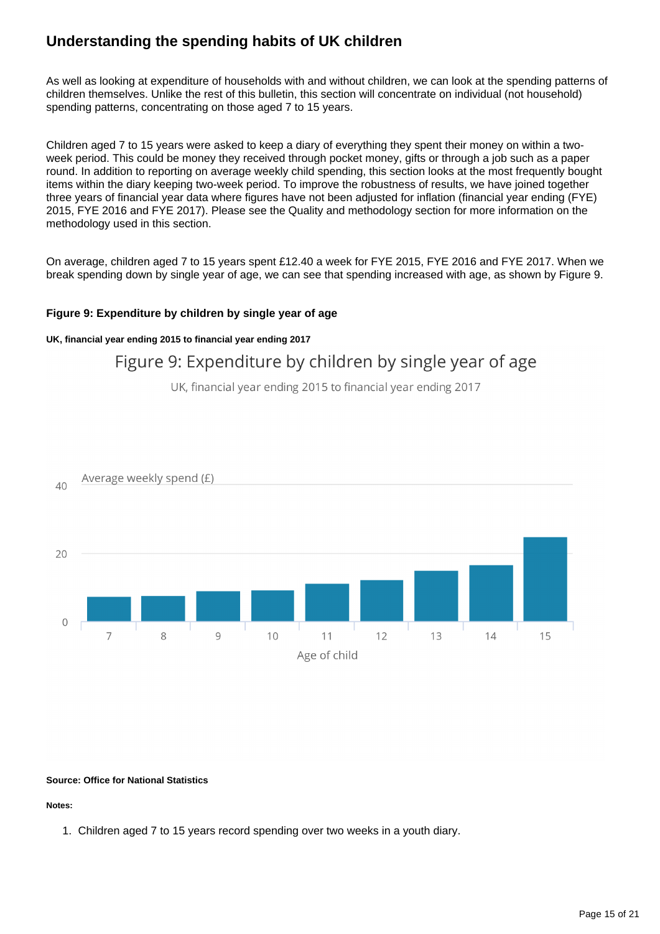### **Understanding the spending habits of UK children**

As well as looking at expenditure of households with and without children, we can look at the spending patterns of children themselves. Unlike the rest of this bulletin, this section will concentrate on individual (not household) spending patterns, concentrating on those aged 7 to 15 years.

Children aged 7 to 15 years were asked to keep a diary of everything they spent their money on within a twoweek period. This could be money they received through pocket money, gifts or through a job such as a paper round. In addition to reporting on average weekly child spending, this section looks at the most frequently bought items within the diary keeping two-week period. To improve the robustness of results, we have joined together three years of financial year data where figures have not been adjusted for inflation (financial year ending (FYE) 2015, FYE 2016 and FYE 2017). Please see the Quality and methodology section for more information on the methodology used in this section.

On average, children aged 7 to 15 years spent £12.40 a week for FYE 2015, FYE 2016 and FYE 2017. When we break spending down by single year of age, we can see that spending increased with age, as shown by Figure 9.

### **Figure 9: Expenditure by children by single year of age**

### **UK, financial year ending 2015 to financial year ending 2017**

### Figure 9: Expenditure by children by single year of age

UK, financial year ending 2015 to financial year ending 2017



#### **Source: Office for National Statistics**

**Notes:**

1. Children aged 7 to 15 years record spending over two weeks in a youth diary.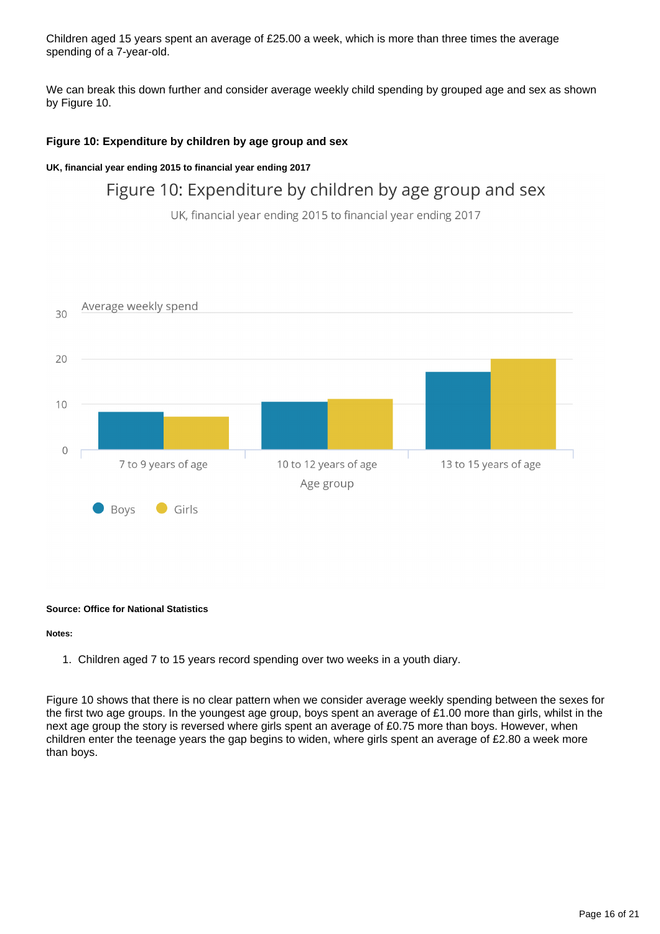Children aged 15 years spent an average of £25.00 a week, which is more than three times the average spending of a 7-year-old.

We can break this down further and consider average weekly child spending by grouped age and sex as shown by Figure 10.

### **Figure 10: Expenditure by children by age group and sex**

### **UK, financial year ending 2015 to financial year ending 2017**

### Figure 10: Expenditure by children by age group and sex

UK, financial year ending 2015 to financial year ending 2017



#### **Source: Office for National Statistics**

#### **Notes:**

1. Children aged 7 to 15 years record spending over two weeks in a youth diary.

Figure 10 shows that there is no clear pattern when we consider average weekly spending between the sexes for the first two age groups. In the youngest age group, boys spent an average of £1.00 more than girls, whilst in the next age group the story is reversed where girls spent an average of £0.75 more than boys. However, when children enter the teenage years the gap begins to widen, where girls spent an average of £2.80 a week more than boys.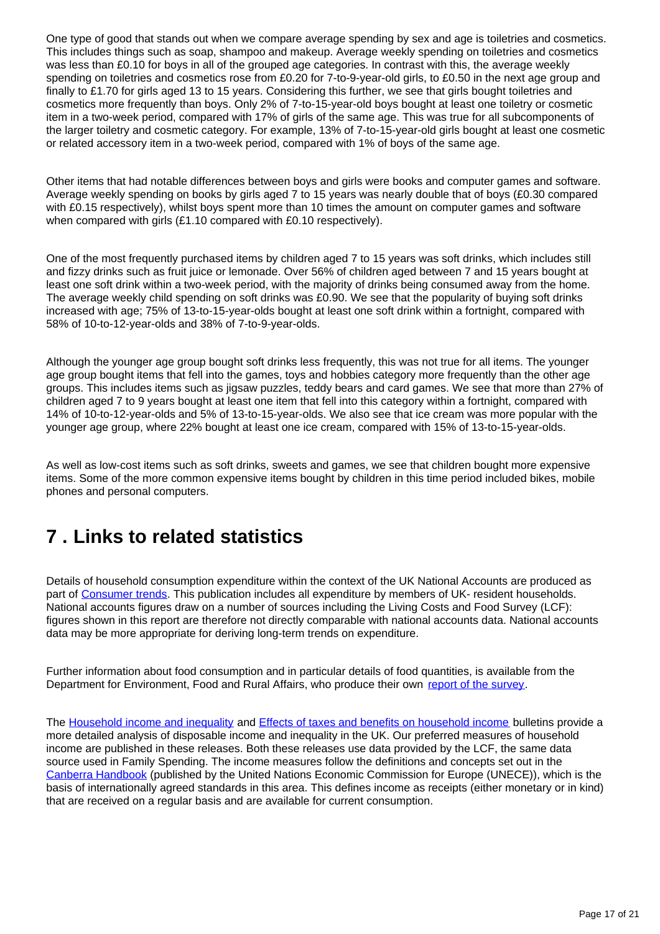One type of good that stands out when we compare average spending by sex and age is toiletries and cosmetics. This includes things such as soap, shampoo and makeup. Average weekly spending on toiletries and cosmetics was less than £0.10 for boys in all of the grouped age categories. In contrast with this, the average weekly spending on toiletries and cosmetics rose from £0.20 for 7-to-9-year-old girls, to £0.50 in the next age group and finally to £1.70 for girls aged 13 to 15 years. Considering this further, we see that girls bought toiletries and cosmetics more frequently than boys. Only 2% of 7-to-15-year-old boys bought at least one toiletry or cosmetic item in a two-week period, compared with 17% of girls of the same age. This was true for all subcomponents of the larger toiletry and cosmetic category. For example, 13% of 7-to-15-year-old girls bought at least one cosmetic or related accessory item in a two-week period, compared with 1% of boys of the same age.

Other items that had notable differences between boys and girls were books and computer games and software. Average weekly spending on books by girls aged 7 to 15 years was nearly double that of boys (£0.30 compared with £0.15 respectively), whilst boys spent more than 10 times the amount on computer games and software when compared with girls (£1.10 compared with £0.10 respectively).

One of the most frequently purchased items by children aged 7 to 15 years was soft drinks, which includes still and fizzy drinks such as fruit juice or lemonade. Over 56% of children aged between 7 and 15 years bought at least one soft drink within a two-week period, with the majority of drinks being consumed away from the home. The average weekly child spending on soft drinks was £0.90. We see that the popularity of buying soft drinks increased with age; 75% of 13-to-15-year-olds bought at least one soft drink within a fortnight, compared with 58% of 10-to-12-year-olds and 38% of 7-to-9-year-olds.

Although the younger age group bought soft drinks less frequently, this was not true for all items. The younger age group bought items that fell into the games, toys and hobbies category more frequently than the other age groups. This includes items such as jigsaw puzzles, teddy bears and card games. We see that more than 27% of children aged 7 to 9 years bought at least one item that fell into this category within a fortnight, compared with 14% of 10-to-12-year-olds and 5% of 13-to-15-year-olds. We also see that ice cream was more popular with the younger age group, where 22% bought at least one ice cream, compared with 15% of 13-to-15-year-olds.

As well as low-cost items such as soft drinks, sweets and games, we see that children bought more expensive items. Some of the more common expensive items bought by children in this time period included bikes, mobile phones and personal computers.

# <span id="page-16-0"></span>**7 . Links to related statistics**

Details of household consumption expenditure within the context of the UK National Accounts are produced as part of [Consumer trends.](http://www.ons.gov.uk/ons/rel/consumer-trends/consumer-trends/index.html) This publication includes all expenditure by members of UK- resident households. National accounts figures draw on a number of sources including the Living Costs and Food Survey (LCF): figures shown in this report are therefore not directly comparable with national accounts data. National accounts data may be more appropriate for deriving long-term trends on expenditure.

Further information about food consumption and in particular details of food quantities, is available from the Department for Environment, Food and Rural Affairs, who produce their own [report of the survey.](https://www.gov.uk/government/collections/family-food-statistics)

The [Household income and inequality](https://www.ons.gov.uk/peoplepopulationandcommunity/personalandhouseholdfinances/incomeandwealth/bulletins/householddisposableincomeandinequality/financialyearending2016) and [Effects of taxes and benefits on household income](https://www.ons.gov.uk/peoplepopulationandcommunity/personalandhouseholdfinances/incomeandwealth/bulletins/theeffectsoftaxesandbenefitsonhouseholdincome/previousReleases) bulletins provide a more detailed analysis of disposable income and inequality in the UK. Our preferred measures of household income are published in these releases. Both these releases use data provided by the LCF, the same data source used in Family Spending. The income measures follow the definitions and concepts set out in the [Canberra Handbook](http://www.unece.org/index.php?id=28894) (published by the United Nations Economic Commission for Europe (UNECE)), which is the basis of internationally agreed standards in this area. This defines income as receipts (either monetary or in kind) that are received on a regular basis and are available for current consumption.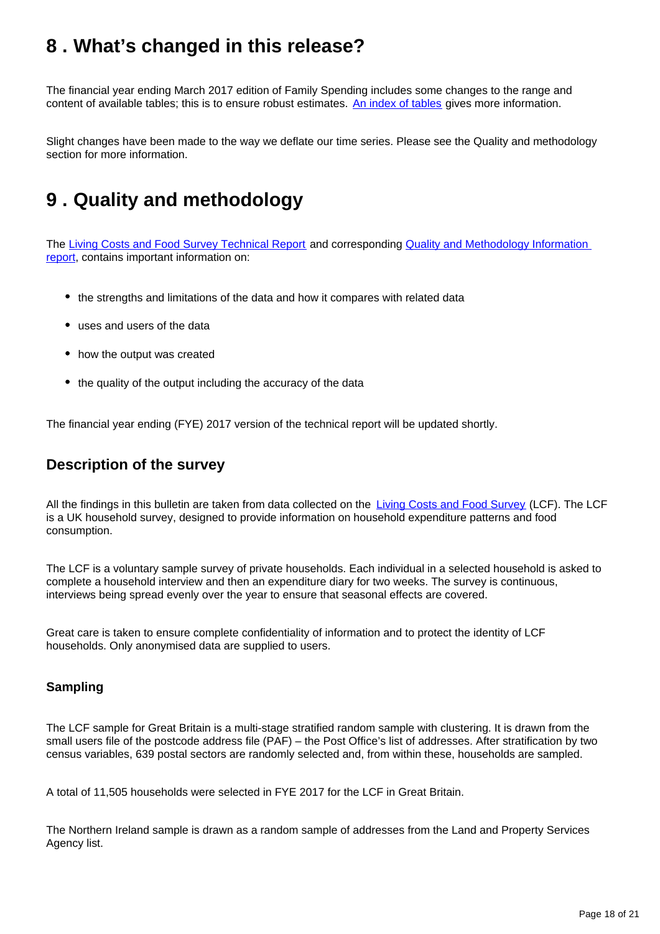# <span id="page-17-0"></span>**8 . What's changed in this release?**

The financial year ending March 2017 edition of Family Spending includes some changes to the range and content of available tables; this is to ensure robust estimates. [An index of tables](https://www.ons.gov.uk/file?uri=/peoplepopulationandcommunity/personalandhouseholdfinances/incomeandwealth/methodologies/livingcostsandfoodsurvey/indextotablesfye2017.xls) gives more information.

Slight changes have been made to the way we deflate our time series. Please see the Quality and methodology section for more information.

# <span id="page-17-1"></span>**9 . Quality and methodology**

The [Living Costs and Food Survey Technical Report](https://www.ons.gov.uk/peoplepopulationandcommunity/personalandhouseholdfinances/incomeandwealth/methodologies/livingcostsandfoodsurvey) and corresponding Quality and Methodology Information [report](https://www.ons.gov.uk/peoplepopulationandcommunity/personalandhouseholdfinances/incomeandwealth/qmis/livingcostsandfoodsurveyqmi), contains important information on:

- the strengths and limitations of the data and how it compares with related data
- uses and users of the data
- how the output was created
- the quality of the output including the accuracy of the data

The financial year ending (FYE) 2017 version of the technical report will be updated shortly.

### **Description of the survey**

All the findings in this bulletin are taken from data collected on the [Living Costs and Food Survey](https://www.ons.gov.uk/peoplepopulationandcommunity/personalandhouseholdfinances/incomeandwealth/methodologies/livingcostsandfoodsurvey) (LCF). The LCF is a UK household survey, designed to provide information on household expenditure patterns and food consumption.

The LCF is a voluntary sample survey of private households. Each individual in a selected household is asked to complete a household interview and then an expenditure diary for two weeks. The survey is continuous, interviews being spread evenly over the year to ensure that seasonal effects are covered.

Great care is taken to ensure complete confidentiality of information and to protect the identity of LCF households. Only anonymised data are supplied to users.

### **Sampling**

The LCF sample for Great Britain is a multi-stage stratified random sample with clustering. It is drawn from the small users file of the postcode address file (PAF) – the Post Office's list of addresses. After stratification by two census variables, 639 postal sectors are randomly selected and, from within these, households are sampled.

A total of 11,505 households were selected in FYE 2017 for the LCF in Great Britain.

The Northern Ireland sample is drawn as a random sample of addresses from the Land and Property Services Agency list.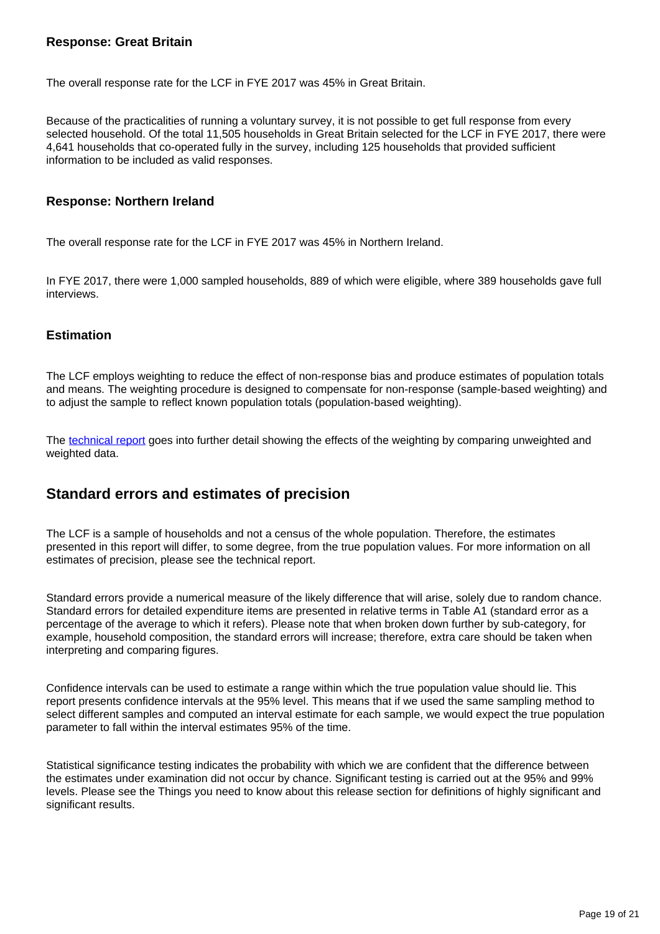### **Response: Great Britain**

The overall response rate for the LCF in FYE 2017 was 45% in Great Britain.

Because of the practicalities of running a voluntary survey, it is not possible to get full response from every selected household. Of the total 11,505 households in Great Britain selected for the LCF in FYE 2017, there were 4,641 households that co-operated fully in the survey, including 125 households that provided sufficient information to be included as valid responses.

### **Response: Northern Ireland**

The overall response rate for the LCF in FYE 2017 was 45% in Northern Ireland.

In FYE 2017, there were 1,000 sampled households, 889 of which were eligible, where 389 households gave full interviews.

### **Estimation**

The LCF employs weighting to reduce the effect of non-response bias and produce estimates of population totals and means. The weighting procedure is designed to compensate for non-response (sample-based weighting) and to adjust the sample to reflect known population totals (population-based weighting).

The [technical report](https://www.ons.gov.uk/peoplepopulationandcommunity/personalandhouseholdfinances/incomeandwealth/methodologies/livingcostsandfoodsurvey) goes into further detail showing the effects of the weighting by comparing unweighted and weighted data.

### **Standard errors and estimates of precision**

The LCF is a sample of households and not a census of the whole population. Therefore, the estimates presented in this report will differ, to some degree, from the true population values. For more information on all estimates of precision, please see the technical report.

Standard errors provide a numerical measure of the likely difference that will arise, solely due to random chance. Standard errors for detailed expenditure items are presented in relative terms in Table A1 (standard error as a percentage of the average to which it refers). Please note that when broken down further by sub-category, for example, household composition, the standard errors will increase; therefore, extra care should be taken when interpreting and comparing figures.

Confidence intervals can be used to estimate a range within which the true population value should lie. This report presents confidence intervals at the 95% level. This means that if we used the same sampling method to select different samples and computed an interval estimate for each sample, we would expect the true population parameter to fall within the interval estimates 95% of the time.

Statistical significance testing indicates the probability with which we are confident that the difference between the estimates under examination did not occur by chance. Significant testing is carried out at the 95% and 99% levels. Please see the Things you need to know about this release section for definitions of highly significant and significant results.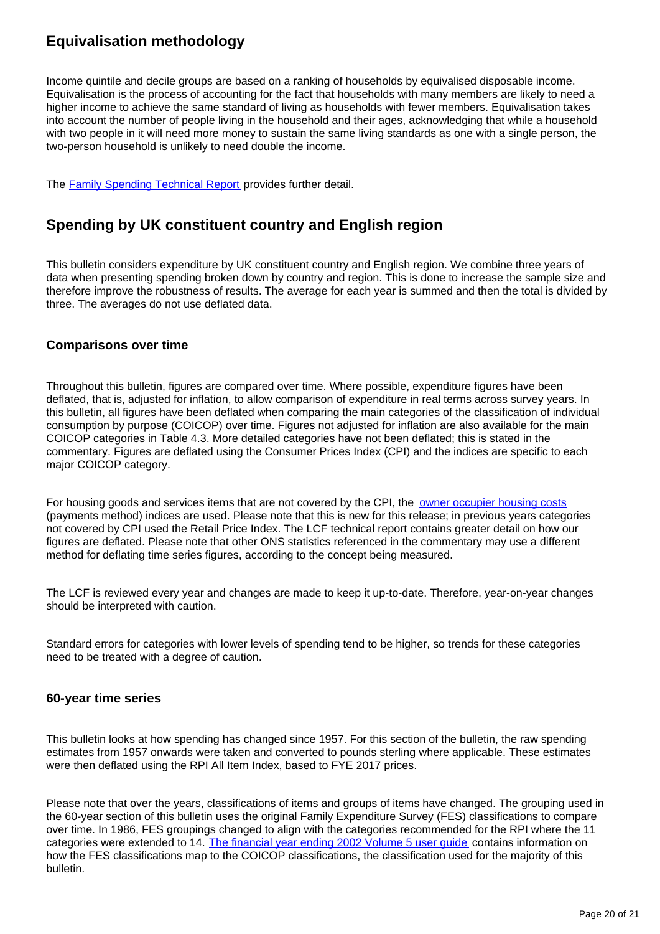### **Equivalisation methodology**

Income quintile and decile groups are based on a ranking of households by equivalised disposable income. Equivalisation is the process of accounting for the fact that households with many members are likely to need a higher income to achieve the same standard of living as households with fewer members. Equivalisation takes into account the number of people living in the household and their ages, acknowledging that while a household with two people in it will need more money to sustain the same living standards as one with a single person, the two-person household is unlikely to need double the income.

The **Family Spending Technical Report** provides further detail.

### **Spending by UK constituent country and English region**

This bulletin considers expenditure by UK constituent country and English region. We combine three years of data when presenting spending broken down by country and region. This is done to increase the sample size and therefore improve the robustness of results. The average for each year is summed and then the total is divided by three. The averages do not use deflated data.

### **Comparisons over time**

Throughout this bulletin, figures are compared over time. Where possible, expenditure figures have been deflated, that is, adjusted for inflation, to allow comparison of expenditure in real terms across survey years. In this bulletin, all figures have been deflated when comparing the main categories of the classification of individual consumption by purpose (COICOP) over time. Figures not adjusted for inflation are also available for the main COICOP categories in Table 4.3. More detailed categories have not been deflated; this is stated in the commentary. Figures are deflated using the Consumer Prices Index (CPI) and the indices are specific to each major COICOP category.

For housing goods and services items that are not covered by the CPI, the [owner occupier housing costs](https://www.ons.gov.uk/economy/inflationandpriceindices/articles/understandingthedifferentapproachesofmeasuringowneroccupiershousingcosts/julytoseptember2017) (payments method) indices are used. Please note that this is new for this release; in previous years categories not covered by CPI used the Retail Price Index. The LCF technical report contains greater detail on how our figures are deflated. Please note that other ONS statistics referenced in the commentary may use a different method for deflating time series figures, according to the concept being measured.

The LCF is reviewed every year and changes are made to keep it up-to-date. Therefore, year-on-year changes should be interpreted with caution.

Standard errors for categories with lower levels of spending tend to be higher, so trends for these categories need to be treated with a degree of caution.

### **60-year time series**

This bulletin looks at how spending has changed since 1957. For this section of the bulletin, the raw spending estimates from 1957 onwards were taken and converted to pounds sterling where applicable. These estimates were then deflated using the RPI All Item Index, based to FYE 2017 prices.

Please note that over the years, classifications of items and groups of items have changed. The grouping used in the 60-year section of this bulletin uses the original Family Expenditure Survey (FES) classifications to compare over time. In 1986, FES groupings changed to align with the categories recommended for the RPI where the 11 categories were extended to 14. The financial year ending 2002 Volume 5 user quide contains information on how the FES classifications map to the COICOP classifications, the classification used for the majority of this bulletin.